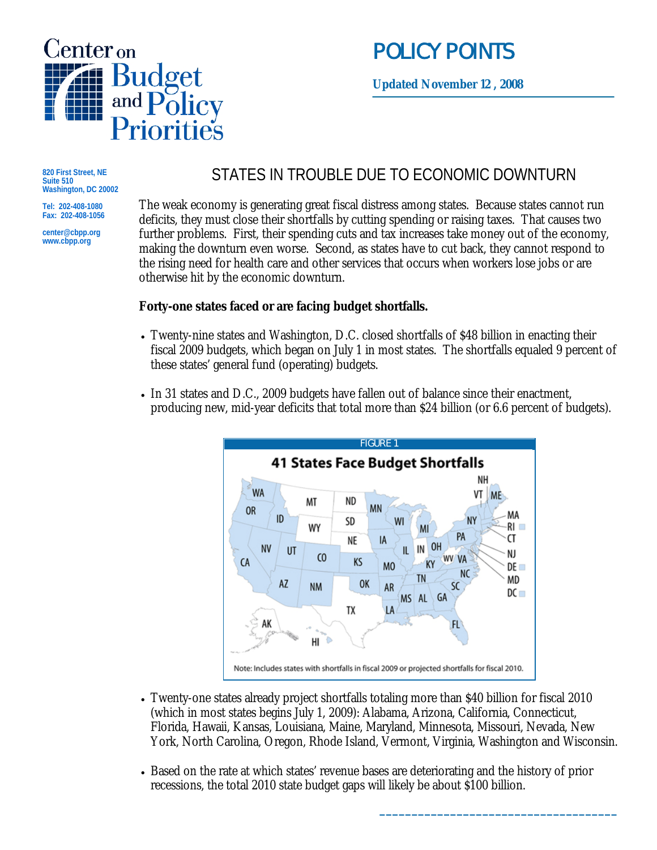

# POLICY POINTS

**Updated November 12 , 2008**

**820 First Street, NE Suite 510 Washington, DC 20002** 

**Tel: 202-408-1080 Fax: 202-408-1056 center@cbpp.org www.cbpp.org** 

STATES IN TROUBLE DUE TO ECONOMIC DOWNTURN

The weak economy is generating great fiscal distress among states. Because states cannot run deficits, they must close their shortfalls by cutting spending or raising taxes. That causes two further problems. First, their spending cuts and tax increases take money out of the economy, making the downturn even worse. Second, as states have to cut back, they cannot respond to the rising need for health care and other services that occurs when workers lose jobs or are otherwise hit by the economic downturn.

## **Forty-one states faced or are facing budget shortfalls.**

- Twenty-nine states and Washington, D.C. closed shortfalls of \$48 billion in enacting their fiscal 2009 budgets, which began on July 1 in most states. The shortfalls equaled 9 percent of these states' general fund (operating) budgets.
- In 31 states and D.C., 2009 budgets have fallen out of balance since their enactment, producing new, mid-year deficits that total more than \$24 billion (or 6.6 percent of budgets).



- Twenty-one states already project shortfalls totaling more than \$40 billion for fiscal 2010 (which in most states begins July 1, 2009): Alabama, Arizona, California, Connecticut, Florida, Hawaii, Kansas, Louisiana, Maine, Maryland, Minnesota, Missouri, Nevada, New York, North Carolina, Oregon, Rhode Island, Vermont, Virginia, Washington and Wisconsin.
- Based on the rate at which states' revenue bases are deteriorating and the history of prior recessions, the total 2010 state budget gaps will likely be about \$100 billion.

**\_\_\_\_\_\_\_\_\_\_\_\_\_\_\_\_\_\_\_\_\_\_\_\_\_\_\_\_\_\_\_\_\_\_\_\_\_**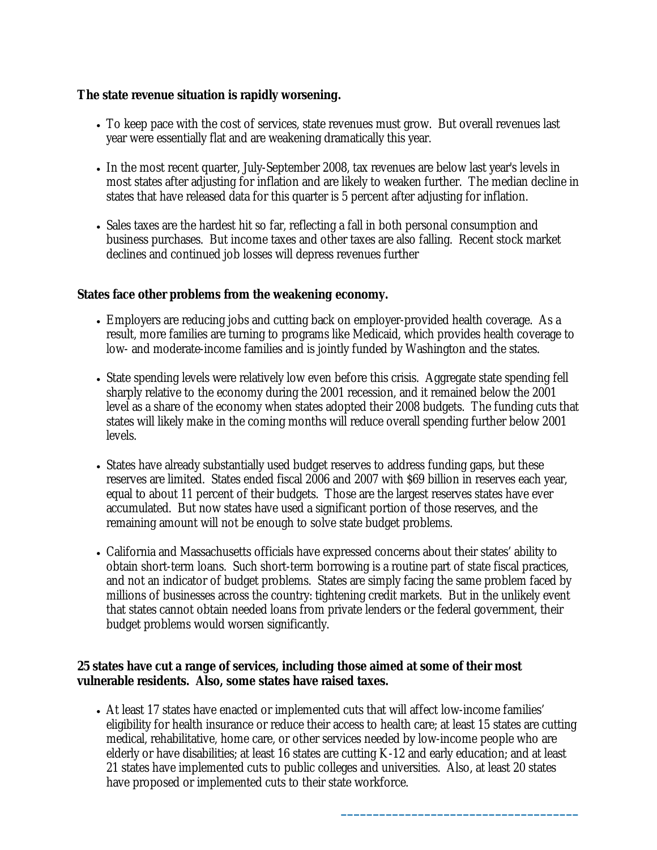#### **The state revenue situation is rapidly worsening.**

- To keep pace with the cost of services, state revenues must grow. But overall revenues last year were essentially flat and are weakening dramatically this year.
- In the most recent quarter, July-September 2008, tax revenues are below last year's levels in most states after adjusting for inflation and are likely to weaken further. The median decline in states that have released data for this quarter is 5 percent after adjusting for inflation.
- Sales taxes are the hardest hit so far, reflecting a fall in both personal consumption and business purchases. But income taxes and other taxes are also falling. Recent stock market declines and continued job losses will depress revenues further

### **States face other problems from the weakening economy.**

- Employers are reducing jobs and cutting back on employer-provided health coverage. As a result, more families are turning to programs like Medicaid, which provides health coverage to low- and moderate-income families and is jointly funded by Washington and the states.
- State spending levels were relatively low even before this crisis. Aggregate state spending fell sharply relative to the economy during the 2001 recession, and it remained below the 2001 level as a share of the economy when states adopted their 2008 budgets. The funding cuts that states will likely make in the coming months will reduce overall spending further below 2001 levels.
- States have already substantially used budget reserves to address funding gaps, but these reserves are limited. States ended fiscal 2006 and 2007 with \$69 billion in reserves each year, equal to about 11 percent of their budgets. Those are the largest reserves states have ever accumulated. But now states have used a significant portion of those reserves, and the remaining amount will not be enough to solve state budget problems.
- California and Massachusetts officials have expressed concerns about their states' ability to obtain short-term loans. Such short-term borrowing is a routine part of state fiscal practices, and not an indicator of budget problems. States are simply facing the same problem faced by millions of businesses across the country: tightening credit markets. But in the unlikely event that states cannot obtain needed loans from private lenders or the federal government, their budget problems would worsen significantly.

#### **25 states have cut a range of services, including those aimed at some of their most vulnerable residents. Also, some states have raised taxes.**

• At least 17 states have enacted or implemented cuts that will affect low-income families' eligibility for health insurance or reduce their access to health care; at least 15 states are cutting medical, rehabilitative, home care, or other services needed by low-income people who are elderly or have disabilities; at least 16 states are cutting K-12 and early education; and at least 21 states have implemented cuts to public colleges and universities. Also, at least 20 states have proposed or implemented cuts to their state workforce.

**\_\_\_\_\_\_\_\_\_\_\_\_\_\_\_\_\_\_\_\_\_\_\_\_\_\_\_\_\_\_\_\_\_\_\_\_\_**